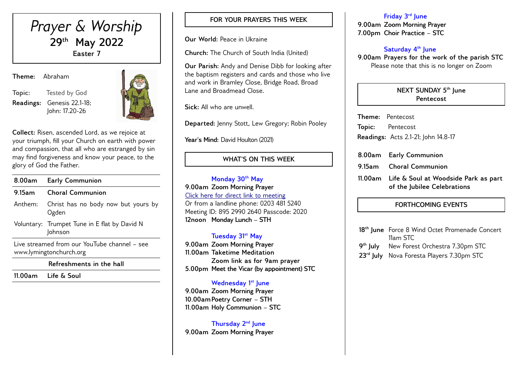

**Readings:** Genesis 22.1-18; John: 17.20-26



**Collect:** Risen, ascended Lord, as we rejoice at your triumph, fill your Church on earth with power and compassion, that all who are estranged by sin may find forgiveness and know your peace, to the glory of God the Father.

| 8.00am                                                                  | <b>Early Communion</b>                                  |  |  |  |
|-------------------------------------------------------------------------|---------------------------------------------------------|--|--|--|
| $9.15$ am                                                               | <b>Choral Communion</b>                                 |  |  |  |
| Anthem:                                                                 | Christ has no body now but yours by<br>Ogden            |  |  |  |
|                                                                         | Voluntary: Trumpet Tune in E flat by David N<br>Johnson |  |  |  |
| Live streamed from our YouTube channel – see<br>www.lymingtonchurch.org |                                                         |  |  |  |

**Refreshments in the hall**

**11.00am Life & Soul** 

## **FOR YOUR PRAYERS THIS WEEK**

**Our World:** Peace in Ukraine

**Church:** The Church of South India (United)

**Our Parish:** Andy and Denise Dibb for looking after the baptism registers and cards and those who live and work in Bramley Close, Bridge Road, Broad Lane and Broadmead Close.

**Sick:** All who are unwell.

**Departed:** Jenny Stott**,** Lew Gregory; Robin Pooley

Year's Mind: David Houlton (2021)

## **WHAT'S ON THIS WEEK**

**Monday 30th May 9.00am Zoom Morning Prayer** [Click here for direct link to meeting](https://us02web.zoom.us/j/89529902640?pwd=QVQxTGxjODdwV3ROT1gxM2NWUjN0dz09) Or from a landline phone: 0203 481 5240 Meeting ID: 895 2990 2640 Passcode: 2020 **12noon Monday Lunch – STH** 

## **Tuesday 31st May**

**9.00am Zoom Morning Prayer 11.00am Taketime Meditation Zoom link as for 9am prayer 5.00pm Meet the Vicar (by appointment) STC**

## **Wednesday 1st June**

**9.00am Zoom Morning Prayer 10.00amPoetry Corner – STH 11.00am Holy Communion – STC** 

**Thursday 2nd June 9.00am Zoom Morning Prayer**

#### **Friday 3rd June**

**9.00am Zoom Morning Prayer 7.00pm Choir Practice – STC** 

## **Saturday 4 th June**

**9.00am Prayers for the work of the parish STC** Please note that this is no longer on Zoom

#### **NEXT SUNDAY 5 th June Pentecost**

**Theme:** Pentecost **Topic:** Pentecost **Readings:** Acts 2.1-21; John 14.8-17

- **8.00am Early Communion**
- **9.15am Choral Communion**
- **11.00am Life & Soul at Woodside Park as part of the Jubilee Celebrations**

## **FORTHCOMING EVENTS**

| 18 <sup>th</sup> June Force 8 Wind Octet Promenade Concert |  |  |  |  |
|------------------------------------------------------------|--|--|--|--|
| 11am STC                                                   |  |  |  |  |
| 9 <sup>th</sup> July New Forest Orchestra 7.30pm STC       |  |  |  |  |
| 23 <sup>rd</sup> July Nova Foresta Players 7.30pm STC      |  |  |  |  |